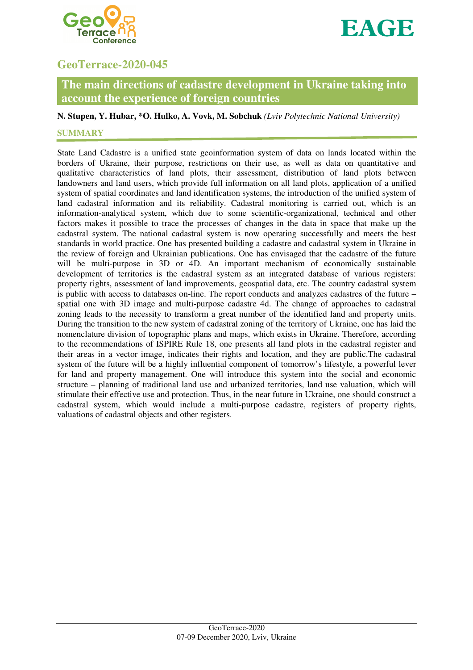



# **GeoTerrace-2020-045**

# **The main directions of cadastre development in Ukraine taking into account the experience of foreign countries**

## **N. Stupen, Y. Hubar, \*O. Hulko, A. Vovk, M. Sobchuk** *(Lviv Polytechnic National University)*

## **SUMMARY**

State Land Cadastre is a unified state geoinformation system of data on lands located within the borders of Ukraine, their purpose, restrictions on their use, as well as data on quantitative and qualitative characteristics of land plots, their assessment, distribution of land plots between landowners and land users, which provide full information on all land plots, application of a unified system of spatial coordinates and land identification systems, the introduction of the unified system of land cadastral information and its reliability. Cadastral monitoring is carried out, which is an information-analytical system, which due to some scientific-organizational, technical and other factors makes it possible to trace the processes of changes in the data in space that make up the cadastral system. The national cadastral system is now operating successfully and meets the best standards in world practice. One has presented building a cadastre and cadastral system in Ukraine in the review of foreign and Ukrainian publications. One has envisaged that the cadastre of the future will be multi-purpose in 3D or 4D. An important mechanism of economically sustainable development of territories is the cadastral system as an integrated database of various registers: property rights, assessment of land improvements, geospatial data, etc. The country cadastral system is public with access to databases on-line. The report conducts and analyzes cadastres of the future – spatial one with 3D image and multi-purpose cadastre 4d. The change of approaches to cadastral zoning leads to the necessity to transform a great number of the identified land and property units. During the transition to the new system of cadastral zoning of the territory of Ukraine, one has laid the nomenclature division of topographic plans and maps, which exists in Ukraine. Therefore, according to the recommendations of ISPIRE Rule 18, one presents all land plots in the cadastral register and their areas in a vector image, indicates their rights and location, and they are public.The cadastral system of the future will be a highly influential component of tomorrow's lifestyle, a powerful lever for land and property management. One will introduce this system into the social and economic structure – planning of traditional land use and urbanized territories, land use valuation, which will stimulate their effective use and protection. Thus, in the near future in Ukraine, one should construct a cadastral system, which would include a multi-purpose cadastre, registers of property rights, valuations of cadastral objects and other registers.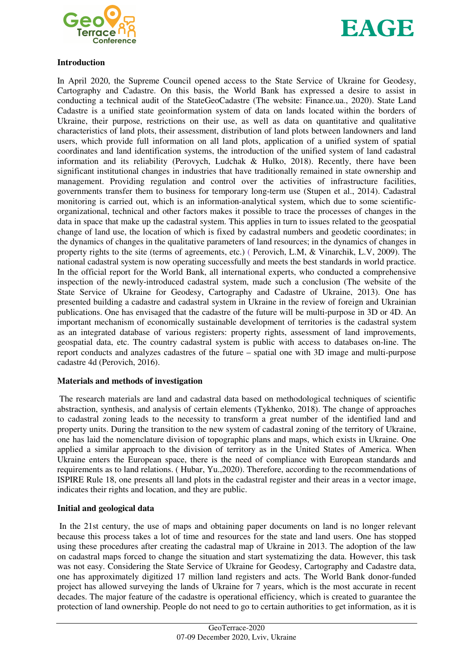



### **Introduction**

In April 2020, the Supreme Council opened access to the State Service of Ukraine for Geodesy, Cartography and Cadastre. On this basis, the World Bank has expressed a desire to assist in conducting a technical audit of the StateGeoCadastre (The website: Finance.ua., 2020). State Land Cadastre is a unified state geoinformation system of data on lands located within the borders of Ukraine, their purpose, restrictions on their use, as well as data on quantitative and qualitative characteristics of land plots, their assessment, distribution of land plots between landowners and land users, which provide full information on all land plots, application of a unified system of spatial coordinates and land identification systems, the introduction of the unified system of land cadastral information and its reliability (Perovych, Ludchak & Hulko, 2018). Recently, there have been significant institutional changes in industries that have traditionally remained in state ownership and management. Providing regulation and control over the activities of infrastructure facilities, governments transfer them to business for temporary long-term use (Stupen et al., 2014). Cadastral monitoring is carried out, which is an information-analytical system, which due to some scientificorganizational, technical and other factors makes it possible to trace the processes of changes in the data in space that make up the cadastral system. This applies in turn to issues related to the geospatial change of land use, the location of which is fixed by cadastral numbers and geodetic coordinates; in the dynamics of changes in the qualitative parameters of land resources; in the dynamics of changes in property rights to the site (terms of agreements, etc.) ( Perovich, L.M, & Vinarchik, L.V, 2009). The national cadastral system is now operating successfully and meets the best standards in world practice. In the official report for the World Bank, all international experts, who conducted a comprehensive inspection of the newly-introduced cadastral system, made such a conclusion (The website of the State Service of Ukraine for Geodesy, Cartography and Cadastre of Ukraine, 2013). One has presented building a cadastre and cadastral system in Ukraine in the review of foreign and Ukrainian publications. One has envisaged that the cadastre of the future will be multi-purpose in 3D or 4D. An important mechanism of economically sustainable development of territories is the cadastral system as an integrated database of various registers: property rights, assessment of land improvements, geospatial data, etc. The country cadastral system is public with access to databases on-line. The report conducts and analyzes cadastres of the future – spatial one with 3D image and multi-purpose cadastre 4d (Perovich, 2016).

#### **Materials and methods of investigation**

The research materials are land and cadastral data based on methodological techniques of scientific abstraction, synthesis, and analysis of certain elements (Tykhenko, 2018). The change of approaches to cadastral zoning leads to the necessity to transform a great number of the identified land and property units. During the transition to the new system of cadastral zoning of the territory of Ukraine, one has laid the nomenclature division of topographic plans and maps, which exists in Ukraine. One applied a similar approach to the division of territory as in the United States of America. When Ukraine enters the European space, there is the need of compliance with European standards and requirements as to land relations. ( Hubar, Yu.,2020). Therefore, according to the recommendations of ISPIRE Rule 18, one presents all land plots in the cadastral register and their areas in a vector image, indicates their rights and location, and they are public.

#### **Initial and geological data**

 In the 21st century, the use of maps and obtaining paper documents on land is no longer relevant because this process takes a lot of time and resources for the state and land users. One has stopped using these procedures after creating the cadastral map of Ukraine in 2013. The adoption of the law on cadastral maps forced to change the situation and start systematizing the data. However, this task was not easy. Considering the State Service of Ukraine for Geodesy, Cartography and Cadastre data, one has approximately digitized 17 million land registers and acts. The World Bank donor-funded project has allowed surveying the lands of Ukraine for 7 years, which is the most accurate in recent decades. The major feature of the cadastre is operational efficiency, which is created to guarantee the protection of land ownership. People do not need to go to certain authorities to get information, as it is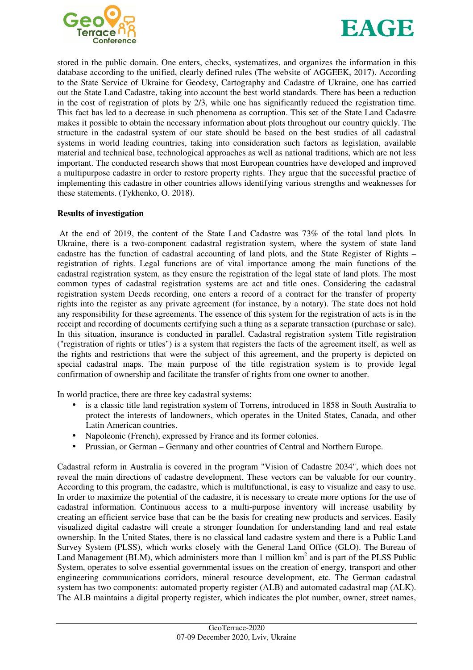



stored in the public domain. One enters, checks, systematizes, and organizes the information in this database according to the unified, clearly defined rules (The website of AGGEEK, 2017). According to the State Service of Ukraine for Geodesy, Cartography and Cadastre of Ukraine, one has carried out the State Land Cadastre, taking into account the best world standards. There has been a reduction in the cost of registration of plots by 2/3, while one has significantly reduced the registration time. This fact has led to a decrease in such phenomena as corruption. This set of the State Land Cadastre makes it possible to obtain the necessary information about plots throughout our country quickly. The structure in the cadastral system of our state should be based on the best studies of all cadastral systems in world leading countries, taking into consideration such factors as legislation, available material and technical base, technological approaches as well as national traditions, which are not less important. The conducted research shows that most European countries have developed and improved a multipurpose cadastre in order to restore property rights. They argue that the successful practice of implementing this cadastre in other countries allows identifying various strengths and weaknesses for these statements. (Tykhenko, O. 2018).

### **Results of investigation**

 At the end of 2019, the content of the State Land Cadastre was 73% of the total land plots. In Ukraine, there is a two-component cadastral registration system, where the system of state land cadastre has the function of cadastral accounting of land plots, and the State Register of Rights – registration of rights. Legal functions are of vital importance among the main functions of the cadastral registration system, as they ensure the registration of the legal state of land plots. The most common types of cadastral registration systems are act and title ones. Considering the cadastral registration system Deeds recording, one enters a record of a contract for the transfer of property rights into the register as any private agreement (for instance, by a notary). The state does not hold any responsibility for these agreements. The essence of this system for the registration of acts is in the receipt and recording of documents certifying such a thing as a separate transaction (purchase or sale). In this situation, insurance is conducted in parallel. Cadastral registration system Title registration ("registration of rights or titles") is a system that registers the facts of the agreement itself, as well as the rights and restrictions that were the subject of this agreement, and the property is depicted on special cadastral maps. The main purpose of the title registration system is to provide legal confirmation of ownership and facilitate the transfer of rights from one owner to another.

In world practice, there are three key cadastral systems:

- is a classic title land registration system of Torrens, introduced in 1858 in South Australia to protect the interests of landowners, which operates in the United States, Canada, and other Latin American countries.
- Napoleonic (French), expressed by France and its former colonies.
- Prussian, or German Germany and other countries of Central and Northern Europe.

Cadastral reform in Australia is covered in the program "Vision of Cadastre 2034", which does not reveal the main directions of cadastre development. These vectors can be valuable for our country. According to this program, the cadastre, which is multifunctional, is easy to visualize and easy to use. In order to maximize the potential of the cadastre, it is necessary to create more options for the use of cadastral information. Continuous access to a multi-purpose inventory will increase usability by creating an efficient service base that can be the basis for creating new products and services. Easily visualized digital cadastre will create a stronger foundation for understanding land and real estate ownership. In the United States, there is no classical land cadastre system and there is a Public Land Survey System (PLSS), which works closely with the General Land Office (GLO). The Bureau of Land Management (BLM), which administers more than 1 million  $km^2$  and is part of the PLSS Public System, operates to solve essential governmental issues on the creation of energy, transport and other engineering communications corridors, mineral resource development, etc. The German cadastral system has two components: automated property register (ALB) and automated cadastral map (ALK). The ALB maintains a digital property register, which indicates the plot number, owner, street names,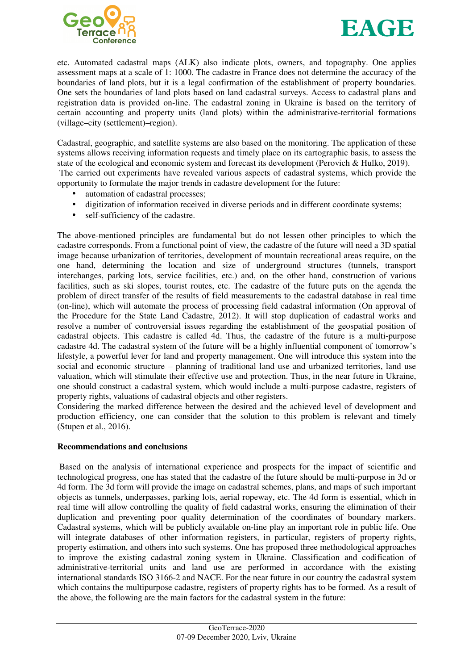



etc. Automated cadastral maps (ALK) also indicate plots, owners, and topography. One applies assessment maps at a scale of 1: 1000. The cadastre in France does not determine the accuracy of the boundaries of land plots, but it is a legal confirmation of the establishment of property boundaries. One sets the boundaries of land plots based on land cadastral surveys. Access to cadastral plans and registration data is provided on-line. The cadastral zoning in Ukraine is based on the territory of certain accounting and property units (land plots) within the administrative-territorial formations (village–city (settlement)–region).

Cadastral, geographic, and satellite systems are also based on the monitoring. The application of these systems allows receiving information requests and timely place on its cartographic basis, to assess the state of the ecological and economic system and forecast its development (Perovich & Hulko, 2019). The carried out experiments have revealed various aspects of cadastral systems, which provide the opportunity to formulate the major trends in cadastre development for the future:

- automation of cadastral processes;
- digitization of information received in diverse periods and in different coordinate systems;
- self-sufficiency of the cadastre.

The above-mentioned principles are fundamental but do not lessen other principles to which the cadastre corresponds. From a functional point of view, the cadastre of the future will need a 3D spatial image because urbanization of territories, development of mountain recreational areas require, on the one hand, determining the location and size of underground structures (tunnels, transport interchanges, parking lots, service facilities, etc.) and, on the other hand, construction of various facilities, such as ski slopes, tourist routes, etc. The cadastre of the future puts on the agenda the problem of direct transfer of the results of field measurements to the cadastral database in real time (on-line), which will automate the process of processing field cadastral information (On approval of the Procedure for the State Land Cadastre, 2012). It will stop duplication of cadastral works and resolve a number of controversial issues regarding the establishment of the geospatial position of cadastral objects. This cadastre is called 4d. Thus, the cadastre of the future is a multi-purpose cadastre 4d. The cadastral system of the future will be a highly influential component of tomorrow's lifestyle, a powerful lever for land and property management. One will introduce this system into the social and economic structure – planning of traditional land use and urbanized territories, land use valuation, which will stimulate their effective use and protection. Thus, in the near future in Ukraine, one should construct a cadastral system, which would include a multi-purpose cadastre, registers of property rights, valuations of cadastral objects and other registers.

Considering the marked difference between the desired and the achieved level of development and production efficiency, one can consider that the solution to this problem is relevant and timely (Stupen et al., 2016).

#### **Recommendations and conclusions**

 Based on the analysis of international experience and prospects for the impact of scientific and technological progress, one has stated that the cadastre of the future should be multi-purpose in 3d or 4d form. The 3d form will provide the image on cadastral schemes, plans, and maps of such important objects as tunnels, underpasses, parking lots, aerial ropeway, etc. The 4d form is essential, which in real time will allow controlling the quality of field cadastral works, ensuring the elimination of their duplication and preventing poor quality determination of the coordinates of boundary markers. Cadastral systems, which will be publicly available on-line play an important role in public life. One will integrate databases of other information registers, in particular, registers of property rights, property estimation, and others into such systems. One has proposed three methodological approaches to improve the existing cadastral zoning system in Ukraine. Classification and codification of administrative-territorial units and land use are performed in accordance with the existing international standards ISO 3166-2 and NACE. For the near future in our country the cadastral system which contains the multipurpose cadastre, registers of property rights has to be formed. As a result of the above, the following are the main factors for the cadastral system in the future: